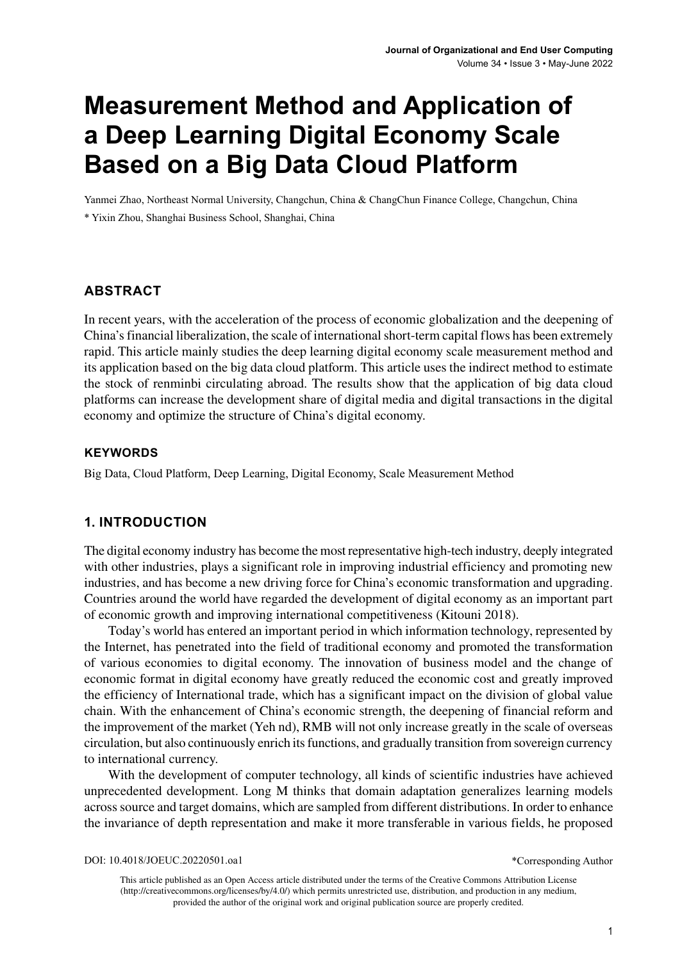# **Measurement Method and Application of a Deep Learning Digital Economy Scale Based on a Big Data Cloud Platform**

Yanmei Zhao, Northeast Normal University, Changchun, China & ChangChun Finance College, Changchun, China \* Yixin Zhou, Shanghai Business School, Shanghai, China

#### **ABSTRACT**

In recent years, with the acceleration of the process of economic globalization and the deepening of China's financial liberalization, the scale of international short-term capital flows has been extremely rapid. This article mainly studies the deep learning digital economy scale measurement method and its application based on the big data cloud platform. This article uses the indirect method to estimate the stock of renminbi circulating abroad. The results show that the application of big data cloud platforms can increase the development share of digital media and digital transactions in the digital economy and optimize the structure of China's digital economy.

#### **Keywords**

Big Data, Cloud Platform, Deep Learning, Digital Economy, Scale Measurement Method

## **1. INTRODUCTION**

The digital economy industry has become the most representative high-tech industry, deeply integrated with other industries, plays a significant role in improving industrial efficiency and promoting new industries, and has become a new driving force for China's economic transformation and upgrading. Countries around the world have regarded the development of digital economy as an important part of economic growth and improving international competitiveness (Kitouni 2018).

Today's world has entered an important period in which information technology, represented by the Internet, has penetrated into the field of traditional economy and promoted the transformation of various economies to digital economy. The innovation of business model and the change of economic format in digital economy have greatly reduced the economic cost and greatly improved the efficiency of International trade, which has a significant impact on the division of global value chain. With the enhancement of China's economic strength, the deepening of financial reform and the improvement of the market (Yeh nd), RMB will not only increase greatly in the scale of overseas circulation, but also continuously enrich its functions, and gradually transition from sovereign currency to international currency.

With the development of computer technology, all kinds of scientific industries have achieved unprecedented development. Long M thinks that domain adaptation generalizes learning models across source and target domains, which are sampled from different distributions. In order to enhance the invariance of depth representation and make it more transferable in various fields, he proposed

DOI: 10.4018/JOEUC.20220501.oa1

\*Corresponding Author

This article published as an Open Access article distributed under the terms of the Creative Commons Attribution License (http://creativecommons.org/licenses/by/4.0/) which permits unrestricted use, distribution, and production in any medium, provided the author of the original work and original publication source are properly credited.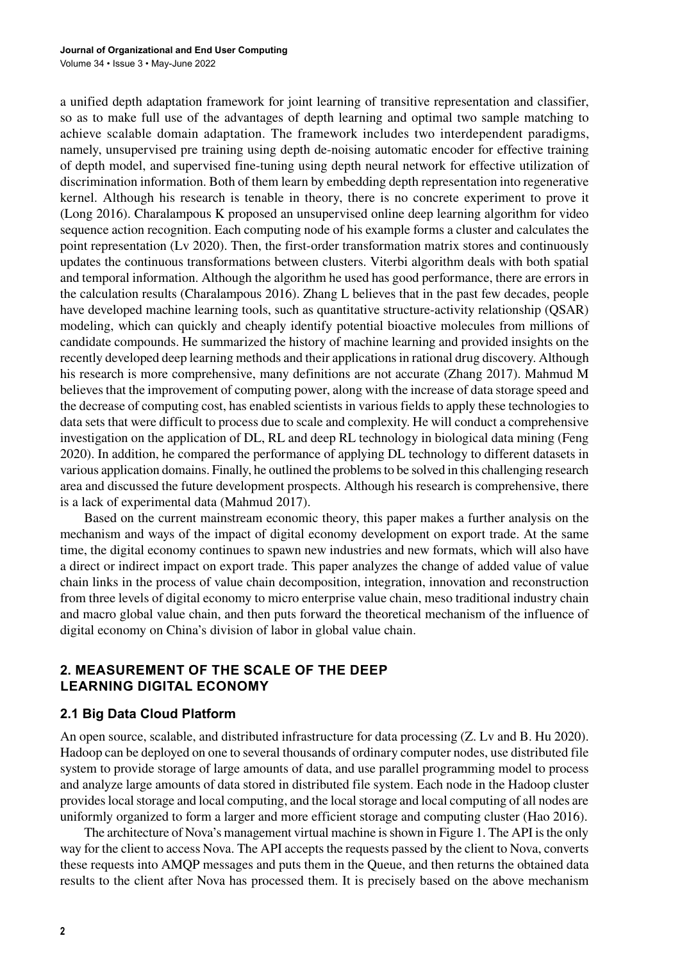a unified depth adaptation framework for joint learning of transitive representation and classifier, so as to make full use of the advantages of depth learning and optimal two sample matching to achieve scalable domain adaptation. The framework includes two interdependent paradigms, namely, unsupervised pre training using depth de-noising automatic encoder for effective training of depth model, and supervised fine-tuning using depth neural network for effective utilization of discrimination information. Both of them learn by embedding depth representation into regenerative kernel. Although his research is tenable in theory, there is no concrete experiment to prove it (Long 2016). Charalampous K proposed an unsupervised online deep learning algorithm for video sequence action recognition. Each computing node of his example forms a cluster and calculates the point representation (Lv 2020). Then, the first-order transformation matrix stores and continuously updates the continuous transformations between clusters. Viterbi algorithm deals with both spatial and temporal information. Although the algorithm he used has good performance, there are errors in the calculation results (Charalampous 2016). Zhang L believes that in the past few decades, people have developed machine learning tools, such as quantitative structure-activity relationship (QSAR) modeling, which can quickly and cheaply identify potential bioactive molecules from millions of candidate compounds. He summarized the history of machine learning and provided insights on the recently developed deep learning methods and their applications in rational drug discovery. Although his research is more comprehensive, many definitions are not accurate (Zhang 2017). Mahmud M believes that the improvement of computing power, along with the increase of data storage speed and the decrease of computing cost, has enabled scientists in various fields to apply these technologies to data sets that were difficult to process due to scale and complexity. He will conduct a comprehensive investigation on the application of DL, RL and deep RL technology in biological data mining (Feng 2020). In addition, he compared the performance of applying DL technology to different datasets in various application domains. Finally, he outlined the problems to be solved in this challenging research area and discussed the future development prospects. Although his research is comprehensive, there is a lack of experimental data (Mahmud 2017).

Based on the current mainstream economic theory, this paper makes a further analysis on the mechanism and ways of the impact of digital economy development on export trade. At the same time, the digital economy continues to spawn new industries and new formats, which will also have a direct or indirect impact on export trade. This paper analyzes the change of added value of value chain links in the process of value chain decomposition, integration, innovation and reconstruction from three levels of digital economy to micro enterprise value chain, meso traditional industry chain and macro global value chain, and then puts forward the theoretical mechanism of the influence of digital economy on China's division of labor in global value chain.

## **2. MEASUREMENT OF THE SCALE OF THE DEEP LEARNING DIGITAL ECONOMY**

## **2.1 Big Data Cloud Platform**

An open source, scalable, and distributed infrastructure for data processing (Z. Lv and B. Hu 2020). Hadoop can be deployed on one to several thousands of ordinary computer nodes, use distributed file system to provide storage of large amounts of data, and use parallel programming model to process and analyze large amounts of data stored in distributed file system. Each node in the Hadoop cluster provides local storage and local computing, and the local storage and local computing of all nodes are uniformly organized to form a larger and more efficient storage and computing cluster (Hao 2016).

The architecture of Nova's management virtual machine is shown in Figure 1. The API is the only way for the client to access Nova. The API accepts the requests passed by the client to Nova, converts these requests into AMQP messages and puts them in the Queue, and then returns the obtained data results to the client after Nova has processed them. It is precisely based on the above mechanism